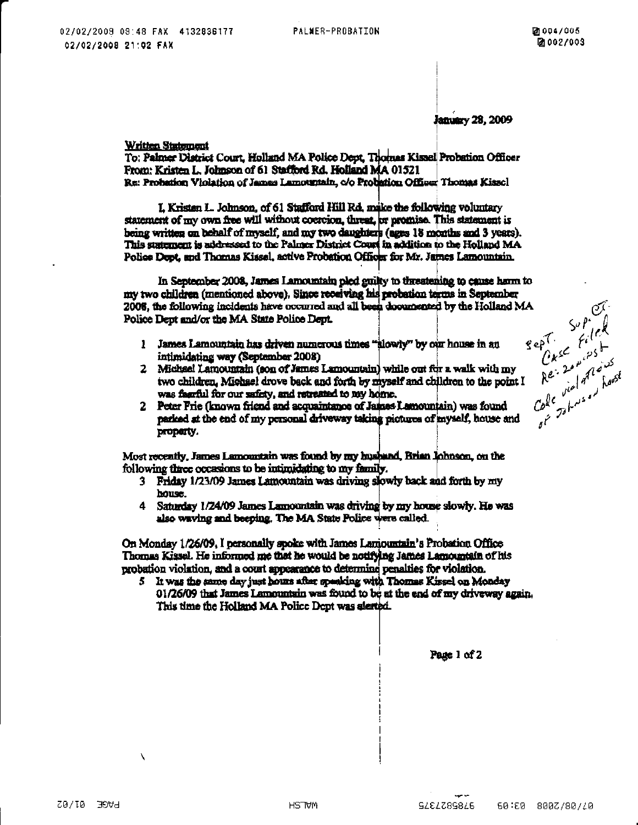January 28, 2009

Written Statement

To: Palmer District Court, Holland MA Police Dept, Thomas Kissel Probation Officer From: Kristen L. Johnson of 61 Stafford Rd. Holland MA 01521 Re: Probation Violation of James Lamouriain, c/o Probation Officer Thomas Kissel

L Kristen L. Johnson, of 61 Stafford Hill Rd, make the following voluntary statement of my own free will without coercion, threat, or promise. This statement is being written on behalf of myself, and my two daughters (ages 18 months and 3 years). This statement is addressed to the Palmer District Court in addition to the Holland MA Police Dept, and Thomas Kissal, active Probation Officer for Mr. James Lamountain.

In September 2008, James Lamountain pled guilty to threatening to cause home to my two children (mentioned above). Since receiving his probation terms in September 2008, the following incidents have occurred and all been doouncated by the Holland MA Police Dept and/or the MA State Police Dept.

- $\mathbf{1}$ James Lamountain has driven numerous times "alowly" by our house in an intimidating way (September 2008)
- 2 Michael Lamountain (son of James Lamountain) while out for a walk with my two children. Michael drove back and forth by myself and children to the noint I was faarful for our safety, and retreated to my home.
- 2 Peter Frie (known friend and acquaintance of James Lamountain) was found parked at the end of my personal driveway taking pictures of myself, house and property.

Most recently, James Lamountain was found by my husband, Brian Johnson, on the following three occasions to be intimidating to my family.

- 3 Friday 1/23/09 James Lamountain was driving slowly back and forth by my house.
- Saturday 1/24/09 James Lamountain was driving by my house slowly. He was 4 also waving and beeping. The MA State Police were called.

On Monday 1/26/09, I personally spoke with James Lamountain's Probation Office Thomas Kissel. He informed me that he would be notifying James Lamountain of his probation violation, and a court appearance to determine penalties for violation.

It was the same day just hours after speaking with Thomas Kissel on Monday 01/26/09 that James Lamountain was found to be at the end of my driveway again. This time the Holland MA Police Dept was alerted.

support<br>sept.  $\frac{S_{\alpha}P}{f_{i}(e)}$ <br> $\frac{S_{\alpha}P}{f_{i}(e)}$ <br> $\frac{S_{\alpha}P}{f_{i}(e)}$ <br> $\frac{S_{\alpha}P}{f_{i}(e)}$ <br> $\frac{S_{\alpha}P}{f_{i}(e)}$ <br> $\frac{S_{\alpha}P}{f_{i}(e)}$ <br> $\frac{S_{\alpha}P}{f_{i}(e)}$ <br> $\frac{S_{\alpha}P}{f_{i}(e)}$ <br> $\frac{S_{\alpha}P}{f_{i}(e)}$ 

Page 1 of 2

Ń

9785827375